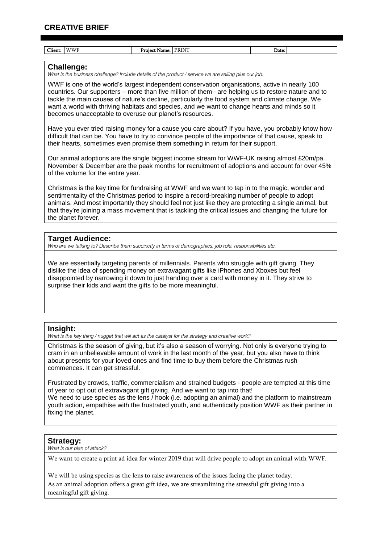# **CREATIVE BRIEF**

| <b>WWF</b><br>Client:              | Project Name: PRINT                                                                                                  | Date:                                                                                                                                                                                                                                                                                                                                                                                                              |
|------------------------------------|----------------------------------------------------------------------------------------------------------------------|--------------------------------------------------------------------------------------------------------------------------------------------------------------------------------------------------------------------------------------------------------------------------------------------------------------------------------------------------------------------------------------------------------------------|
|                                    |                                                                                                                      |                                                                                                                                                                                                                                                                                                                                                                                                                    |
| <b>Challenge:</b>                  | What is the business challenge? Include details of the product / service we are selling plus our job.                |                                                                                                                                                                                                                                                                                                                                                                                                                    |
|                                    |                                                                                                                      |                                                                                                                                                                                                                                                                                                                                                                                                                    |
|                                    | becomes unacceptable to overuse our planet's resources.                                                              | WWF is one of the world's largest independent conservation organisations, active in nearly 100<br>countries. Our supporters - more than five million of them- are helping us to restore nature and to<br>tackle the main causes of nature's decline, particularly the food system and climate change. We<br>want a world with thriving habitats and species, and we want to change hearts and minds so it          |
|                                    | their hearts, sometimes even promise them something in return for their support.                                     | Have you ever tried raising money for a cause you care about? If you have, you probably know how<br>difficult that can be. You have to try to convince people of the importance of that cause, speak to                                                                                                                                                                                                            |
| of the volume for the entire year. |                                                                                                                      | Our animal adoptions are the single biggest income stream for WWF-UK raising almost £20m/pa.<br>November & December are the peak months for recruitment of adoptions and account for over 45%                                                                                                                                                                                                                      |
| the planet forever.                |                                                                                                                      | Christmas is the key time for fundraising at WWF and we want to tap in to the magic, wonder and<br>sentimentality of the Christmas period to inspire a record-breaking number of people to adopt<br>animals. And most importantly they should feel not just like they are protecting a single animal, but<br>that they're joining a mass movement that is tackling the critical issues and changing the future for |
| <b>Target Audience:</b>            | Who are we talking to? Describe them succinctly in terms of demographics, job role, responsibilities etc.            |                                                                                                                                                                                                                                                                                                                                                                                                                    |
|                                    | surprise their kids and want the gifts to be more meaningful.                                                        | We are essentially targeting parents of millennials. Parents who struggle with gift giving. They<br>dislike the idea of spending money on extravagant gifts like iPhones and Xboxes but feel<br>disappointed by narrowing it down to just handing over a card with money in it. They strive to                                                                                                                     |
| Insight:                           |                                                                                                                      |                                                                                                                                                                                                                                                                                                                                                                                                                    |
| commences. It can get stressful.   | What is the key thing / nugget that will act as the catalyst for the strategy and creative work?                     | Christmas is the season of giving, but it's also a season of worrying. Not only is everyone trying to<br>cram in an unbelievable amount of work in the last month of the year, but you also have to think<br>about presents for your loved ones and find time to buy them before the Christmas rush                                                                                                                |
|                                    | of year to opt out of extravagant gift giving. And we want to tap into that!<br>ico oo tha long / hook /i o adonting | Frustrated by crowds, traffic, commercialism and strained budgets - people are tempted at this time<br>aal) and tha platform to mai                                                                                                                                                                                                                                                                                |

We need to use <u>species as the lens / hook (</u>i.e. adopting an animal) and the platform to mainstream youth action, empathise with the frustrated youth, and authentically position WWF as their partner in fixing the planet.

## **Strategy:**

*What is our plan of attack?* 

We want to create a print ad idea for winter 2019 that will drive people to adopt an animal with WWF.

We will be using species as the lens to raise awareness of the issues facing the planet today. As an animal adoption offers a great gift idea, we are streamlining the stressful gift giving into a meaningful gift giving.